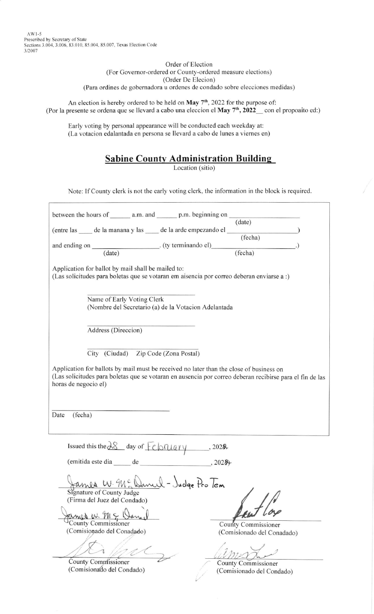AWI-5 Prescribed by Secretary of State Sections 3.004, 3.006, 83.010, 85.004, 85.007, Texas Election Code 3/2007

> Order of Election (For Governor-ordered or County-ordered measure elections) (Order De Elecion) (Para ordines de gobemadora u ordenes de condado sobre elecciones medidas)

An election is hereby ordered to be held on  $\text{May } 7^{\text{th}}$ , 2022 for the purpose of: (Por la presente se ordena que se llevard a cabo una eleccion el May 7<sup>th</sup>, 2022<sub>-</sub> con el propoaito ed:)

Early voting by personal appearance will be conducted each weekday at: (La votacion edalantada en persona se llevard a cabo de lunes a viemes en)

## **Sabine County Administration Building**

Location (sitio)

Note: If County clerk is not the early voting clerk. the information in the block is required

| between the hours of $\_\_\_\_\$ a.m. and $\_\_\_\_\$ p.m. beginning on $\_\_\_\_\_\_\_\$ (date)                                                                                                                            |                                                   |  |  |
|-----------------------------------------------------------------------------------------------------------------------------------------------------------------------------------------------------------------------------|---------------------------------------------------|--|--|
| (entre las ______ de la manana y las _____ de la arde empezando el ______________ (fecha)                                                                                                                                   |                                                   |  |  |
|                                                                                                                                                                                                                             |                                                   |  |  |
| and ending on (date) (ty terminando el) (fecha)                                                                                                                                                                             |                                                   |  |  |
| Application for ballot by mail shall be mailed to:<br>(Las solicitudes para boletas que se votaran em aisencia por correo deberan enviarse a :)                                                                             |                                                   |  |  |
| Name of Early Voting Clerk<br>(Nombre del Secretario (a) de la Votacion Adelantada                                                                                                                                          |                                                   |  |  |
| Address (Direccion)                                                                                                                                                                                                         |                                                   |  |  |
| City (Ciudad) Zip Code (Zona Postal)                                                                                                                                                                                        |                                                   |  |  |
| Application for ballots by mail must be received no later than the close of business on<br>(Las solicitudes para boletas que se votaran en ausencia por correo deberan recibirse para el fin de las<br>horas de negocio el) |                                                   |  |  |
| (fecha)<br>Date                                                                                                                                                                                                             |                                                   |  |  |
| Issued this the $38$ day of $Fehnu$ $\rightarrow$ 2028.                                                                                                                                                                     |                                                   |  |  |
| (emitida este dia de de 3028)                                                                                                                                                                                               |                                                   |  |  |
| $\mathcal{L}$<br>- Judge fro lem<br>ames<br>Signature of County Judge                                                                                                                                                       |                                                   |  |  |
| (Firma del Juez del Condado)                                                                                                                                                                                                |                                                   |  |  |
| ames in M<br>County Commissioner                                                                                                                                                                                            |                                                   |  |  |
| (Comisionado del Conadado)                                                                                                                                                                                                  | County Commissioner<br>(Comisionado del Conadado) |  |  |
|                                                                                                                                                                                                                             |                                                   |  |  |
|                                                                                                                                                                                                                             |                                                   |  |  |
| <b>County Commissioner</b>                                                                                                                                                                                                  | <b>County Commissioner</b>                        |  |  |
| (Comisionado del Condado)                                                                                                                                                                                                   | (Comisionado del Condado)                         |  |  |